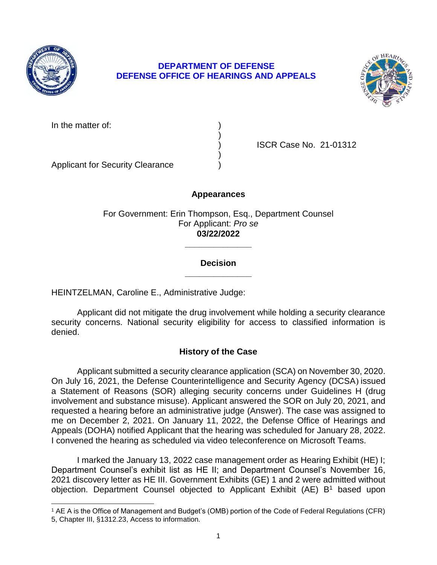

 $\overline{a}$ 

## **DEPARTMENT OF DEFENSE DEFENSE OFFICE OF HEARINGS AND APPEALS**



In the matter of:

) ISCR Case No. 21-01312

Applicant for Security Clearance )

### **Appearances**

)

)

For Government: Erin Thompson, Esq., Department Counsel For Applicant: *Pro se*  **03/22/2022** 

### **\_\_\_\_\_\_\_\_\_\_\_\_\_\_ Decision**

**\_\_\_\_\_\_\_\_\_\_\_\_\_\_** 

HEINTZELMAN, Caroline E., Administrative Judge:

 security concerns. National security eligibility for access to classified information is Applicant did not mitigate the drug involvement while holding a security clearance denied.

## **History of the Case**

 Applicant submitted a security clearance application (SCA) on November 30, 2020. On July 16, 2021, the Defense Counterintelligence and Security Agency (DCSA) issued a Statement of Reasons (SOR) alleging security concerns under Guidelines H (drug me on December 2, 2021. On January 11, 2022, the Defense Office of Hearings and Appeals (DOHA) notified Applicant that the hearing was scheduled for January 28, 2022. involvement and substance misuse). Applicant answered the SOR on July 20, 2021, and requested a hearing before an administrative judge (Answer). The case was assigned to I convened the hearing as scheduled via video teleconference on Microsoft Teams.

 I marked the January 13, 2022 case management order as Hearing Exhibit (HE) I; Department Counsel's exhibit list as HE II; and Department Counsel's November 16, 2021 discovery letter as HE III. Government Exhibits (GE) 1 and 2 were admitted without objection. Department Counsel objected to Applicant Exhibit (AE) B<sup>1</sup> based upon

 1 AE A is the Office of Management and Budget's (OMB) portion of the Code of Federal Regulations (CFR) 5, Chapter III, §1312.23, Access to information.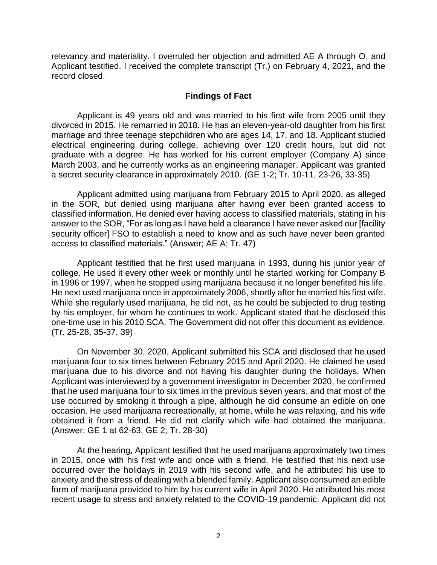relevancy and materiality. I overruled her objection and admitted AE A through O, and Applicant testified. I received the complete transcript (Tr.) on February 4, 2021, and the record closed.

#### **Findings of Fact**

 Applicant is 49 years old and was married to his first wife from 2005 until they marriage and three teenage stepchildren who are ages 14, 17, and 18. Applicant studied electrical engineering during college, achieving over 120 credit hours, but did not graduate with a degree. He has worked for his current employer (Company A) since March 2003, and he currently works as an engineering manager. Applicant was granted divorced in 2015. He remarried in 2018. He has an eleven-year-old daughter from his first a secret security clearance in approximately 2010. (GE 1-2; Tr. 10-11, 23-26, 33-35)

 Applicant admitted using marijuana from February 2015 to April 2020, as alleged in the SOR, but denied using marijuana after having ever been granted access to classified information. He denied ever having access to classified materials, stating in his answer to the SOR, "For as long as I have held a clearance I have never asked our [facility security officer] FSO to establish a need to know and as such have never been granted access to classified materials." (Answer; AE A; Tr. 47)

 Applicant testified that he first used marijuana in 1993, during his junior year of college. He used it every other week or monthly until he started working for Company B in 1996 or 1997, when he stopped using marijuana because it no longer benefited his life. He next used marijuana once in approximately 2006, shortly after he married his first wife. While she regularly used marijuana, he did not, as he could be subjected to drug testing by his employer, for whom he continues to work. Applicant stated that he disclosed this one-time use in his 2010 SCA. The Government did not offer this document as evidence. (Tr. 25-28, 35-37, 39)

 marijuana four to six times between February 2015 and April 2020. He claimed he used marijuana due to his divorce and not having his daughter during the holidays. When Applicant was interviewed by a government investigator in December 2020, he confirmed that he used marijuana four to six times in the previous seven years, and that most of the use occurred by smoking it through a pipe, although he did consume an edible on one occasion. He used marijuana recreationally, at home, while he was relaxing, and his wife obtained it from a friend. He did not clarify which wife had obtained the marijuana. On November 30, 2020, Applicant submitted his SCA and disclosed that he used (Answer; GE 1 at 62-63; GE 2; Tr. 28-30)

 At the hearing, Applicant testified that he used marijuana approximately two times in 2015, once with his first wife and once with a friend. He testified that his next use occurred over the holidays in 2019 with his second wife, and he attributed his use to anxiety and the stress of dealing with a blended family. Applicant also consumed an edible form of marijuana provided to him by his current wife in April 2020. He attributed his most recent usage to stress and anxiety related to the COVID-19 pandemic. Applicant did not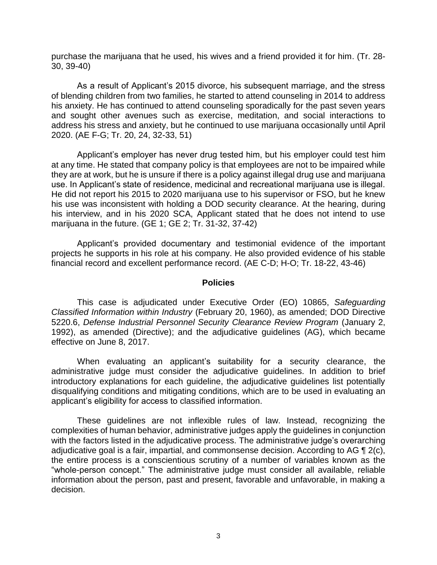purchase the marijuana that he used, his wives and a friend provided it for him. (Tr. 28- 30, 39-40)

 As a result of Applicant's 2015 divorce, his subsequent marriage, and the stress of blending children from two families, he started to attend counseling in 2014 to address his anxiety. He has continued to attend counseling sporadically for the past seven years address his stress and anxiety, but he continued to use marijuana occasionally until April and sought other avenues such as exercise, meditation, and social interactions to 2020. (AE F-G; Tr. 20, 24, 32-33, 51)

 Applicant's employer has never drug tested him, but his employer could test him at any time. He stated that company policy is that employees are not to be impaired while they are at work, but he is unsure if there is a policy against illegal drug use and marijuana use. In Applicant's state of residence, medicinal and recreational marijuana use is illegal. He did not report his 2015 to 2020 marijuana use to his supervisor or FSO, but he knew his use was inconsistent with holding a DOD security clearance. At the hearing, during his interview, and in his 2020 SCA, Applicant stated that he does not intend to use marijuana in the future. (GE 1; GE 2; Tr. 31-32, 37-42)

 Applicant's provided documentary and testimonial evidence of the important projects he supports in his role at his company. He also provided evidence of his stable financial record and excellent performance record. (AE C-D; H-O; Tr. 18-22, 43-46)

#### **Policies**

 *Classified Information within Industry* (February 20, 1960), as amended; DOD Directive 5220.6, *Defense Industrial Personnel Security Clearance Review Program* (January 2, 1992), as amended (Directive); and the adjudicative guidelines (AG), which became This case is adjudicated under Executive Order (EO) 10865, *Safeguarding*  effective on June 8, 2017.

 When evaluating an applicant's suitability for a security clearance, the administrative judge must consider the adjudicative guidelines. In addition to brief introductory explanations for each guideline, the adjudicative guidelines list potentially disqualifying conditions and mitigating conditions, which are to be used in evaluating an applicant's eligibility for access to classified information.

 These guidelines are not inflexible rules of law. Instead, recognizing the complexities of human behavior, administrative judges apply the guidelines in conjunction with the factors listed in the adjudicative process. The administrative judge's overarching adjudicative goal is a fair, impartial, and commonsense decision. According to AG  $\P$  2(c), the entire process is a conscientious scrutiny of a number of variables known as the "whole-person concept." The administrative judge must consider all available, reliable information about the person, past and present, favorable and unfavorable, in making a decision.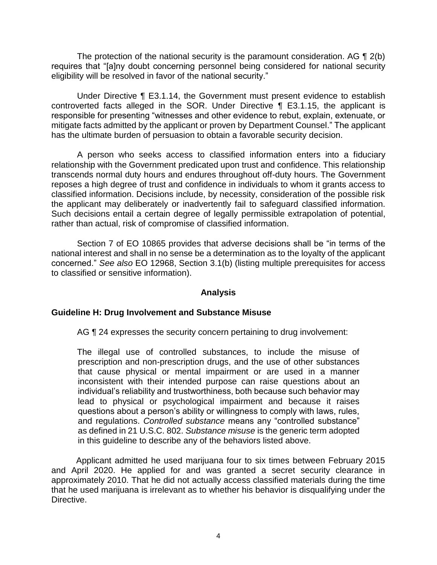The protection of the national security is the paramount consideration. AG  $\P$  2(b) eligibility will be resolved in favor of the national security." requires that "[a]ny doubt concerning personnel being considered for national security

 Under Directive ¶ E3.1.14, the Government must present evidence to establish controverted facts alleged in the SOR. Under Directive ¶ E3.1.15, the applicant is responsible for presenting "witnesses and other evidence to rebut, explain, extenuate, or mitigate facts admitted by the applicant or proven by Department Counsel." The applicant has the ultimate burden of persuasion to obtain a favorable security decision.

 A person who seeks access to classified information enters into a fiduciary relationship with the Government predicated upon trust and confidence. This relationship transcends normal duty hours and endures throughout off-duty hours. The Government reposes a high degree of trust and confidence in individuals to whom it grants access to classified information. Decisions include, by necessity, consideration of the possible risk the applicant may deliberately or inadvertently fail to safeguard classified information. Such decisions entail a certain degree of legally permissible extrapolation of potential, rather than actual, risk of compromise of classified information.

 Section 7 of EO 10865 provides that adverse decisions shall be "in terms of the national interest and shall in no sense be a determination as to the loyalty of the applicant concerned." *See also* EO 12968, Section 3.1(b) (listing multiple prerequisites for access to classified or sensitive information).

### **Analysis**

#### **Guideline H: Drug Involvement and Substance Misuse**

AG  $\P$  24 expresses the security concern pertaining to drug involvement:

The illegal use of controlled substances, to include the misuse of prescription and non-prescription drugs, and the use of other substances that cause physical or mental impairment or are used in a manner inconsistent with their intended purpose can raise questions about an individual's reliability and trustworthiness, both because such behavior may lead to physical or psychological impairment and because it raises questions about a person's ability or willingness to comply with laws, rules, and regulations. *Controlled substance* means any "controlled substance" as defined in 21 U.S.C. 802. *Substance misuse* is the generic term adopted in this guideline to describe any of the behaviors listed above.

 Applicant admitted he used marijuana four to six times between February 2015 and April 2020. He applied for and was granted a secret security clearance in approximately 2010. That he did not actually access classified materials during the time that he used marijuana is irrelevant as to whether his behavior is disqualifying under the Directive.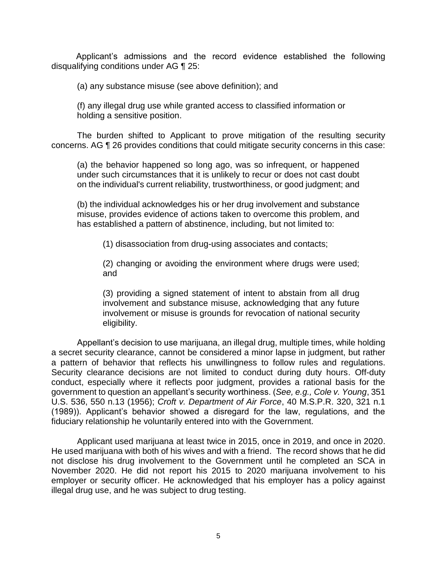Applicant's admissions and the record evidence established the following disqualifying conditions under AG ¶ 25:

(a) any substance misuse (see above definition); and

(f) any illegal drug use while granted access to classified information or holding a sensitive position.

 The burden shifted to Applicant to prove mitigation of the resulting security concerns. AG ¶ 26 provides conditions that could mitigate security concerns in this case:

(a) the behavior happened so long ago, was so infrequent, or happened under such circumstances that it is unlikely to recur or does not cast doubt on the individual's current reliability, trustworthiness, or good judgment; and

(b) the individual acknowledges his or her drug involvement and substance misuse, provides evidence of actions taken to overcome this problem, and has established a pattern of abstinence, including, but not limited to:

(1) disassociation from drug-using associates and contacts;

(2) changing or avoiding the environment where drugs were used; and

(3) providing a signed statement of intent to abstain from all drug involvement and substance misuse, acknowledging that any future involvement or misuse is grounds for revocation of national security eligibility.

Appellant's decision to use marijuana, an illegal drug, multiple times, while holding a secret security clearance, cannot be considered a minor lapse in judgment, but rather a pattern of behavior that reflects his unwillingness to follow rules and regulations. Security clearance decisions are not limited to conduct during duty hours. Off-duty conduct, especially where it reflects poor judgment, provides a rational basis for the government to question an appellant's security worthiness. (*See, e.g., Cole v. Young*, 351 U.S. 536, 550 n.13 (1956); *Croft v. Department of Air Force*, 40 M.S.P.R. 320, 321 n.1 (1989)). Applicant's behavior showed a disregard for the law, regulations, and the fiduciary relationship he voluntarily entered into with the Government.

 Applicant used marijuana at least twice in 2015, once in 2019, and once in 2020. He used marijuana with both of his wives and with a friend. The record shows that he did not disclose his drug involvement to the Government until he completed an SCA in November 2020. He did not report his 2015 to 2020 marijuana involvement to his employer or security officer. He acknowledged that his employer has a policy against illegal drug use, and he was subject to drug testing.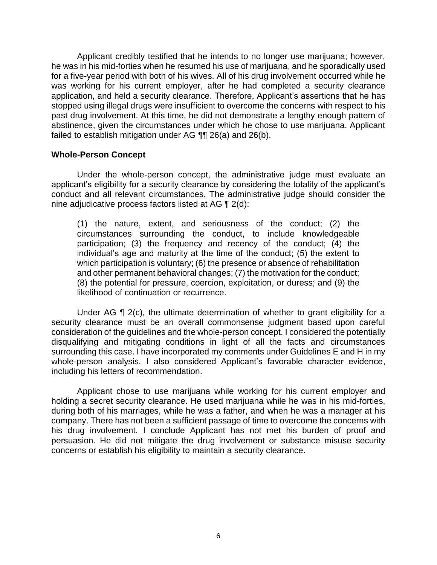Applicant credibly testified that he intends to no longer use marijuana; however, he was in his mid-forties when he resumed his use of marijuana, and he sporadically used for a five-year period with both of his wives. All of his drug involvement occurred while he was working for his current employer, after he had completed a security clearance application, and held a security clearance. Therefore, Applicant's assertions that he has stopped using illegal drugs were insufficient to overcome the concerns with respect to his past drug involvement. At this time, he did not demonstrate a lengthy enough pattern of abstinence, given the circumstances under which he chose to use marijuana. Applicant failed to establish mitigation under AG  $\P\P$  26(a) and 26(b).

#### **Whole-Person Concept**

Under the whole-person concept, the administrative judge must evaluate an applicant's eligibility for a security clearance by considering the totality of the applicant's conduct and all relevant circumstances. The administrative judge should consider the nine adjudicative process factors listed at AG ¶ 2(d):

(1) the nature, extent, and seriousness of the conduct; (2) the circumstances surrounding the conduct, to include knowledgeable participation; (3) the frequency and recency of the conduct; (4) the individual's age and maturity at the time of the conduct; (5) the extent to which participation is voluntary; (6) the presence or absence of rehabilitation and other permanent behavioral changes; (7) the motivation for the conduct; (8) the potential for pressure, coercion, exploitation, or duress; and (9) the likelihood of continuation or recurrence.

Under AG  $\P$  2(c), the ultimate determination of whether to grant eligibility for a security clearance must be an overall commonsense judgment based upon careful consideration of the guidelines and the whole-person concept. I considered the potentially disqualifying and mitigating conditions in light of all the facts and circumstances surrounding this case. I have incorporated my comments under Guidelines E and H in my whole-person analysis. I also considered Applicant's favorable character evidence, including his letters of recommendation.

 Applicant chose to use marijuana while working for his current employer and holding a secret security clearance. He used marijuana while he was in his mid-forties, during both of his marriages, while he was a father, and when he was a manager at his company. There has not been a sufficient passage of time to overcome the concerns with his drug involvement. I conclude Applicant has not met his burden of proof and persuasion. He did not mitigate the drug involvement or substance misuse security concerns or establish his eligibility to maintain a security clearance.